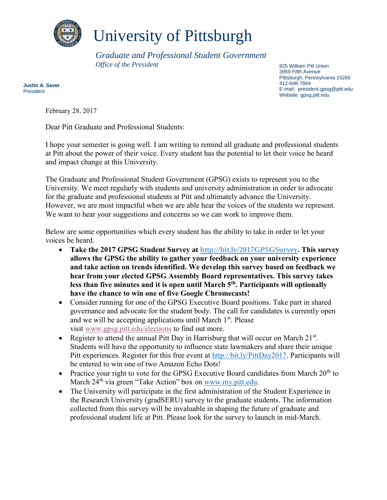

## University of Pittsburgh

*Graduate and Professional Student Government Office of the President* 

825 William Pitt Union 3959 Fifth Avenue Pittsburgh, Pennsylvania 15260 412-648-7844 E-mail: president.gpsg@pitt.edu Website: gpsg.pitt.edu

**Justin A. Saver** President

February 28, 2017

Dear Pitt Graduate and Professional Students:

I hope your semester is going well. I am writing to remind all graduate and professional students at Pitt about the power of their voice. Every student has the potential to let their voice be heard and impact change at this University.

The Graduate and Professional Student Government (GPSG) exists to represent you to the University. We meet regularly with students and university administration in order to advocate for the graduate and professional students at Pitt and ultimately advance the University. However, we are most impactful when we are able hear the voices of the students we represent. We want to hear your suggestions and concerns so we can work to improve them.

Below are some opportunities which every student has the ability to take in order to let your voices be heard.

- **Take the 2017 GPSG Student Survey at<http://bit.ly/2017GPSGSurvey>. This survey allows the GPSG the ability to gather your feedback on your university experience and take action on trends identified. We develop this survey based on feedback we hear from your elected GPSG Assembly Board representatives. This survey takes less than five minutes and it is open until March 5th . Participants will optionally have the chance to win one of five Google Chromecasts!**
- Consider running for one of the GPSG Executive Board positions. Take part in shared governance and advocate for the student body. The call for candidates is currently open and we will be accepting applications until March 1<sup>st</sup>. Please visit [www.gpsg.pitt.edu/elections](http://www.gpsg.pitt.edu/elections) to find out more.
- Register to attend the annual Pitt Day in Harrisburg that will occur on March  $21^{st}$ . Students will have the opportunity to influence state lawmakers and share their unique Pitt experiences. Register for this free event at [http://bit.ly/PittDay2017.](http://bit.ly/PittDay2017) Participants will be entered to win one of two Amazon Echo Dots!
- Practice your right to vote for the GPSG Executive Board candidates from March  $20<sup>th</sup>$  to March 24<sup>th</sup> via green "Take Action" box on [www.my.pitt.edu.](http://www.my.pitt.edu/)
- The University will participate in the first administration of the Student Experience in the Research University (gradSERU) survey to the graduate students. The information collected from this survey will be invaluable in shaping the future of graduate and professional student life at Pitt. Please look for the survey to launch in mid-March.